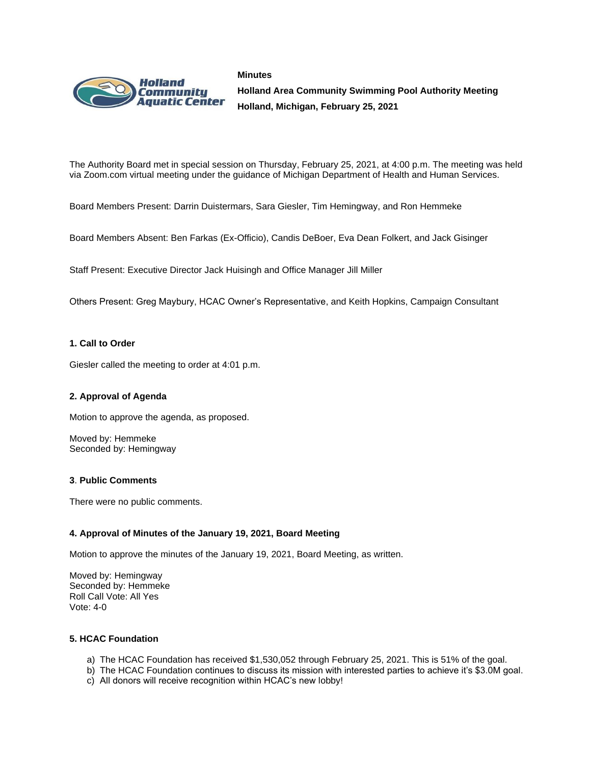#### **Minutes**



**Holland Area Community Swimming Pool Authority Meeting Holland, Michigan, February 25, 2021**

The Authority Board met in special session on Thursday, February 25, 2021, at 4:00 p.m. The meeting was held via Zoom.com virtual meeting under the guidance of Michigan Department of Health and Human Services.

Board Members Present: Darrin Duistermars, Sara Giesler, Tim Hemingway, and Ron Hemmeke

Board Members Absent: Ben Farkas (Ex-Officio), Candis DeBoer, Eva Dean Folkert, and Jack Gisinger

Staff Present: Executive Director Jack Huisingh and Office Manager Jill Miller

Others Present: Greg Maybury, HCAC Owner's Representative, and Keith Hopkins, Campaign Consultant

### **1. Call to Order**

Giesler called the meeting to order at 4:01 p.m.

### **2. Approval of Agenda**

Motion to approve the agenda, as proposed.

Moved by: Hemmeke Seconded by: Hemingway

### **3**. **Public Comments**

There were no public comments.

### **4. Approval of Minutes of the January 19, 2021, Board Meeting**

Motion to approve the minutes of the January 19, 2021, Board Meeting, as written.

Moved by: Hemingway Seconded by: Hemmeke Roll Call Vote: All Yes Vote: 4-0

### **5. HCAC Foundation**

- a) The HCAC Foundation has received \$1,530,052 through February 25, 2021. This is 51% of the goal.
- b) The HCAC Foundation continues to discuss its mission with interested parties to achieve it's \$3.0M goal.
- c) All donors will receive recognition within HCAC's new lobby!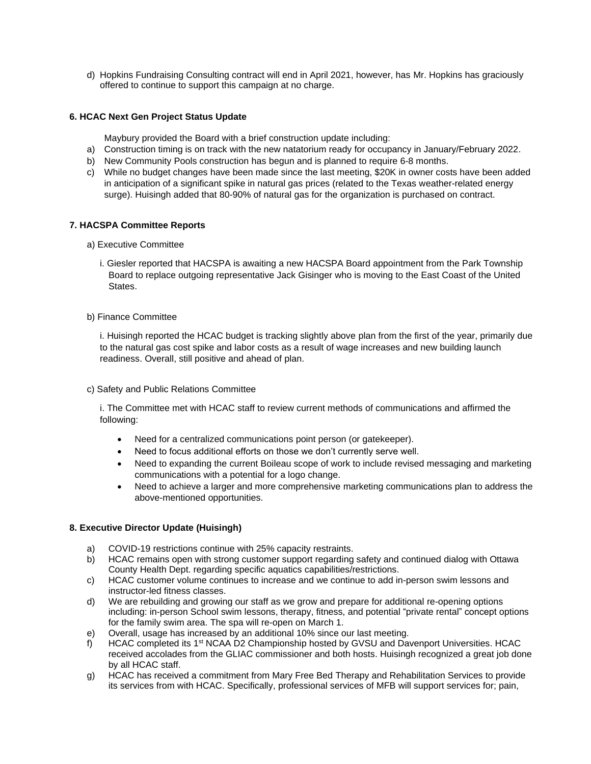d) Hopkins Fundraising Consulting contract will end in April 2021, however, has Mr. Hopkins has graciously offered to continue to support this campaign at no charge.

# **6. HCAC Next Gen Project Status Update**

Maybury provided the Board with a brief construction update including:

- a) Construction timing is on track with the new natatorium ready for occupancy in January/February 2022.
- b) New Community Pools construction has begun and is planned to require 6-8 months.
- c) While no budget changes have been made since the last meeting, \$20K in owner costs have been added in anticipation of a significant spike in natural gas prices (related to the Texas weather-related energy surge). Huisingh added that 80-90% of natural gas for the organization is purchased on contract.

## **7. HACSPA Committee Reports**

- a) Executive Committee
	- i. Giesler reported that HACSPA is awaiting a new HACSPA Board appointment from the Park Township Board to replace outgoing representative Jack Gisinger who is moving to the East Coast of the United States.

### b) Finance Committee

i. Huisingh reported the HCAC budget is tracking slightly above plan from the first of the year, primarily due to the natural gas cost spike and labor costs as a result of wage increases and new building launch readiness. Overall, still positive and ahead of plan.

c) Safety and Public Relations Committee

i. The Committee met with HCAC staff to review current methods of communications and affirmed the following:

- Need for a centralized communications point person (or gatekeeper).
- Need to focus additional efforts on those we don't currently serve well.
- Need to expanding the current Boileau scope of work to include revised messaging and marketing communications with a potential for a logo change.
- Need to achieve a larger and more comprehensive marketing communications plan to address the above-mentioned opportunities.

## **8. Executive Director Update (Huisingh)**

- a) COVID-19 restrictions continue with 25% capacity restraints.
- b) HCAC remains open with strong customer support regarding safety and continued dialog with Ottawa County Health Dept. regarding specific aquatics capabilities/restrictions.
- c) HCAC customer volume continues to increase and we continue to add in-person swim lessons and instructor-led fitness classes.
- d) We are rebuilding and growing our staff as we grow and prepare for additional re-opening options including: in-person School swim lessons, therapy, fitness, and potential "private rental" concept options for the family swim area. The spa will re-open on March 1.
- e) Overall, usage has increased by an additional 10% since our last meeting.
- f) HCAC completed its 1<sup>st</sup> NCAA D2 Championship hosted by GVSU and Davenport Universities. HCAC received accolades from the GLIAC commissioner and both hosts. Huisingh recognized a great job done by all HCAC staff.
- g) HCAC has received a commitment from Mary Free Bed Therapy and Rehabilitation Services to provide its services from with HCAC. Specifically, professional services of MFB will support services for; pain,